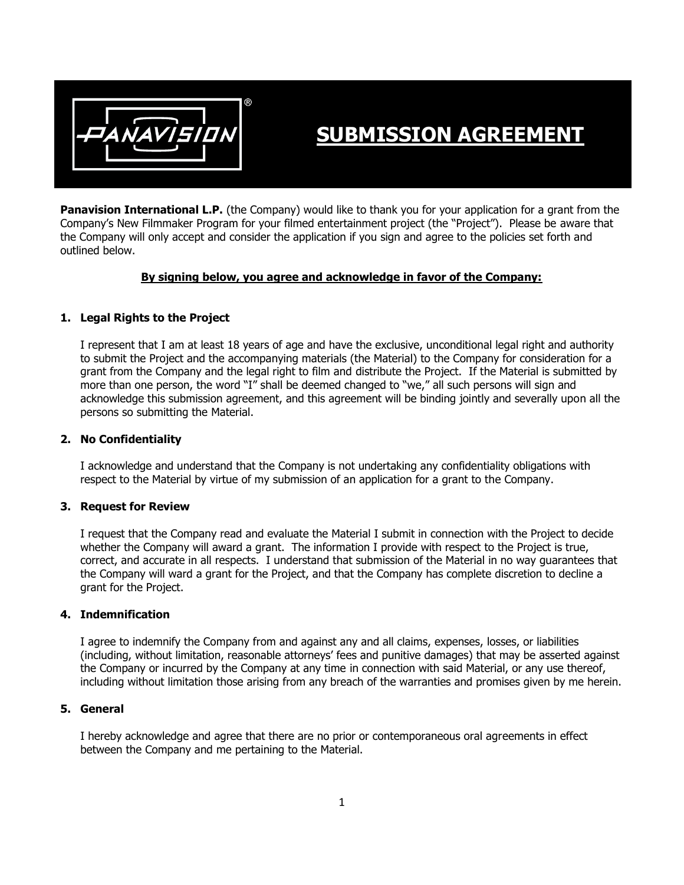

# **SUBMISSION AGREEMENT**

**Panavision International L.P.** (the Company) would like to thank you for your application for a grant from the Company's New Filmmaker Program for your filmed entertainment project (the "Project"). Please be aware that the Company will only accept and consider the application if you sign and agree to the policies set forth and outlined below.

#### **By signing below, you agree and acknowledge in favor of the Company:**

### **1. Legal Rights to the Project**

I represent that I am at least 18 years of age and have the exclusive, unconditional legal right and authority to submit the Project and the accompanying materials (the Material) to the Company for consideration for a grant from the Company and the legal right to film and distribute the Project. If the Material is submitted by more than one person, the word "I" shall be deemed changed to "we," all such persons will sign and acknowledge this submission agreement, and this agreement will be binding jointly and severally upon all the persons so submitting the Material.

#### **2. No Confidentiality**

I acknowledge and understand that the Company is not undertaking any confidentiality obligations with respect to the Material by virtue of my submission of an application for a grant to the Company.

#### **3. Request for Review**

I request that the Company read and evaluate the Material I submit in connection with the Project to decide whether the Company will award a grant. The information I provide with respect to the Project is true, correct, and accurate in all respects. I understand that submission of the Material in no way guarantees that the Company will ward a grant for the Project, and that the Company has complete discretion to decline a grant for the Project.

#### **4. Indemnification**

I agree to indemnify the Company from and against any and all claims, expenses, losses, or liabilities (including, without limitation, reasonable attorneys' fees and punitive damages) that may be asserted against the Company or incurred by the Company at any time in connection with said Material, or any use thereof, including without limitation those arising from any breach of the warranties and promises given by me herein.

#### **5. General**

I hereby acknowledge and agree that there are no prior or contemporaneous oral agreements in effect between the Company and me pertaining to the Material.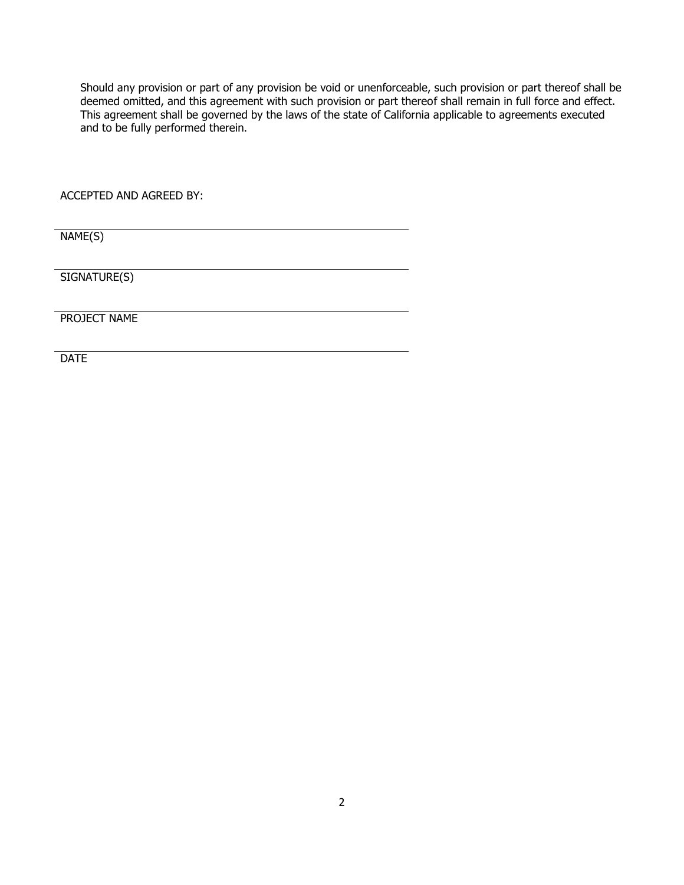Should any provision or part of any provision be void or unenforceable, such provision or part thereof shall be deemed omitted, and this agreement with such provision or part thereof shall remain in full force and effect. This agreement shall be governed by the laws of the state of California applicable to agreements executed and to be fully performed therein.

ACCEPTED AND AGREED BY:

NAME(S)

SIGNATURE(S)

PROJECT NAME

**DATE**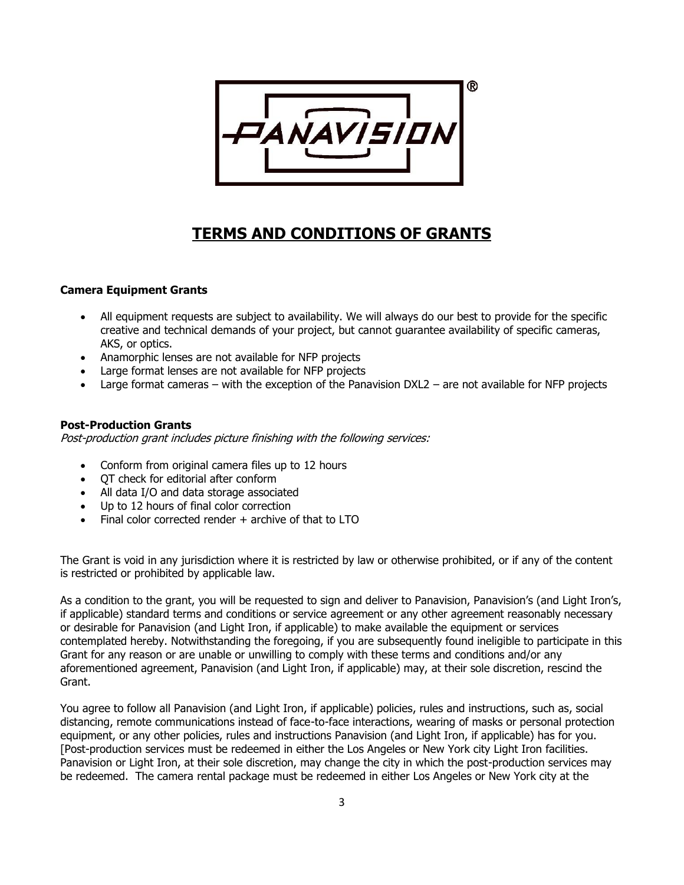

# **TERMS AND CONDITIONS OF GRANTS**

## **Camera Equipment Grants**

- All equipment requests are subject to availability. We will always do our best to provide for the specific creative and technical demands of your project, but cannot guarantee availability of specific cameras, AKS, or optics.
- Anamorphic lenses are not available for NFP projects
- Large format lenses are not available for NFP projects
- Large format cameras with the exception of the Panavision DXL2 are not available for NFP projects

#### **Post-Production Grants**

Post-production grant includes picture finishing with the following services:

- Conform from original camera files up to 12 hours
- QT check for editorial after conform
- All data I/O and data storage associated
- Up to 12 hours of final color correction
- Final color corrected render + archive of that to LTO

The Grant is void in any jurisdiction where it is restricted by law or otherwise prohibited, or if any of the content is restricted or prohibited by applicable law.

As a condition to the grant, you will be requested to sign and deliver to Panavision, Panavision's (and Light Iron's, if applicable) standard terms and conditions or service agreement or any other agreement reasonably necessary or desirable for Panavision (and Light Iron, if applicable) to make available the equipment or services contemplated hereby. Notwithstanding the foregoing, if you are subsequently found ineligible to participate in this Grant for any reason or are unable or unwilling to comply with these terms and conditions and/or any aforementioned agreement, Panavision (and Light Iron, if applicable) may, at their sole discretion, rescind the Grant.

You agree to follow all Panavision (and Light Iron, if applicable) policies, rules and instructions, such as, social distancing, remote communications instead of face-to-face interactions, wearing of masks or personal protection equipment, or any other policies, rules and instructions Panavision (and Light Iron, if applicable) has for you. [Post-production services must be redeemed in either the Los Angeles or New York city Light Iron facilities. Panavision or Light Iron, at their sole discretion, may change the city in which the post-production services may be redeemed. The camera rental package must be redeemed in either Los Angeles or New York city at the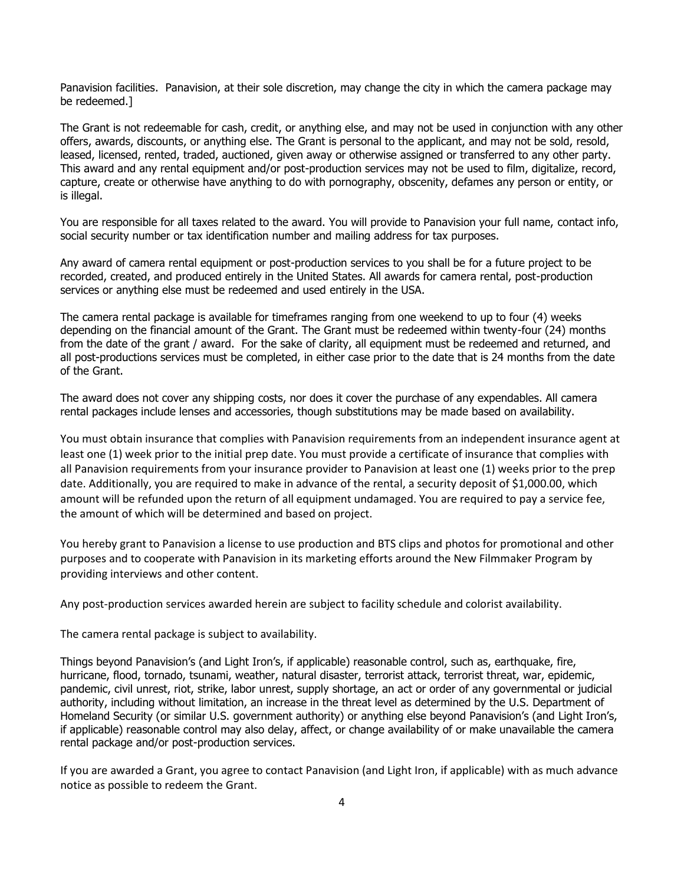Panavision facilities. Panavision, at their sole discretion, may change the city in which the camera package may be redeemed.]

The Grant is not redeemable for cash, credit, or anything else, and may not be used in conjunction with any other offers, awards, discounts, or anything else. The Grant is personal to the applicant, and may not be sold, resold, leased, licensed, rented, traded, auctioned, given away or otherwise assigned or transferred to any other party. This award and any rental equipment and/or post-production services may not be used to film, digitalize, record, capture, create or otherwise have anything to do with pornography, obscenity, defames any person or entity, or is illegal.

You are responsible for all taxes related to the award. You will provide to Panavision your full name, contact info, social security number or tax identification number and mailing address for tax purposes.

Any award of camera rental equipment or post-production services to you shall be for a future project to be recorded, created, and produced entirely in the United States. All awards for camera rental, post-production services or anything else must be redeemed and used entirely in the USA.

The camera rental package is available for timeframes ranging from one weekend to up to four (4) weeks depending on the financial amount of the Grant. The Grant must be redeemed within twenty-four (24) months from the date of the grant / award. For the sake of clarity, all equipment must be redeemed and returned, and all post-productions services must be completed, in either case prior to the date that is 24 months from the date of the Grant.

The award does not cover any shipping costs, nor does it cover the purchase of any expendables. All camera rental packages include lenses and accessories, though substitutions may be made based on availability.

You must obtain insurance that complies with Panavision requirements from an independent insurance agent at least one (1) week prior to the initial prep date. You must provide a certificate of insurance that complies with all Panavision requirements from your insurance provider to Panavision at least one (1) weeks prior to the prep date. Additionally, you are required to make in advance of the rental, a security deposit of \$1,000.00, which amount will be refunded upon the return of all equipment undamaged. You are required to pay a service fee, the amount of which will be determined and based on project.

You hereby grant to Panavision a license to use production and BTS clips and photos for promotional and other purposes and to cooperate with Panavision in its marketing efforts around the New Filmmaker Program by providing interviews and other content.

Any post-production services awarded herein are subject to facility schedule and colorist availability.

The camera rental package is subject to availability.

Things beyond Panavision's (and Light Iron's, if applicable) reasonable control, such as, earthquake, fire, hurricane, flood, tornado, tsunami, weather, natural disaster, terrorist attack, terrorist threat, war, epidemic, pandemic, civil unrest, riot, strike, labor unrest, supply shortage, an act or order of any governmental or judicial authority, including without limitation, an increase in the threat level as determined by the U.S. Department of Homeland Security (or similar U.S. government authority) or anything else beyond Panavision's (and Light Iron's, if applicable) reasonable control may also delay, affect, or change availability of or make unavailable the camera rental package and/or post-production services.

If you are awarded a Grant, you agree to contact Panavision (and Light Iron, if applicable) with as much advance notice as possible to redeem the Grant.